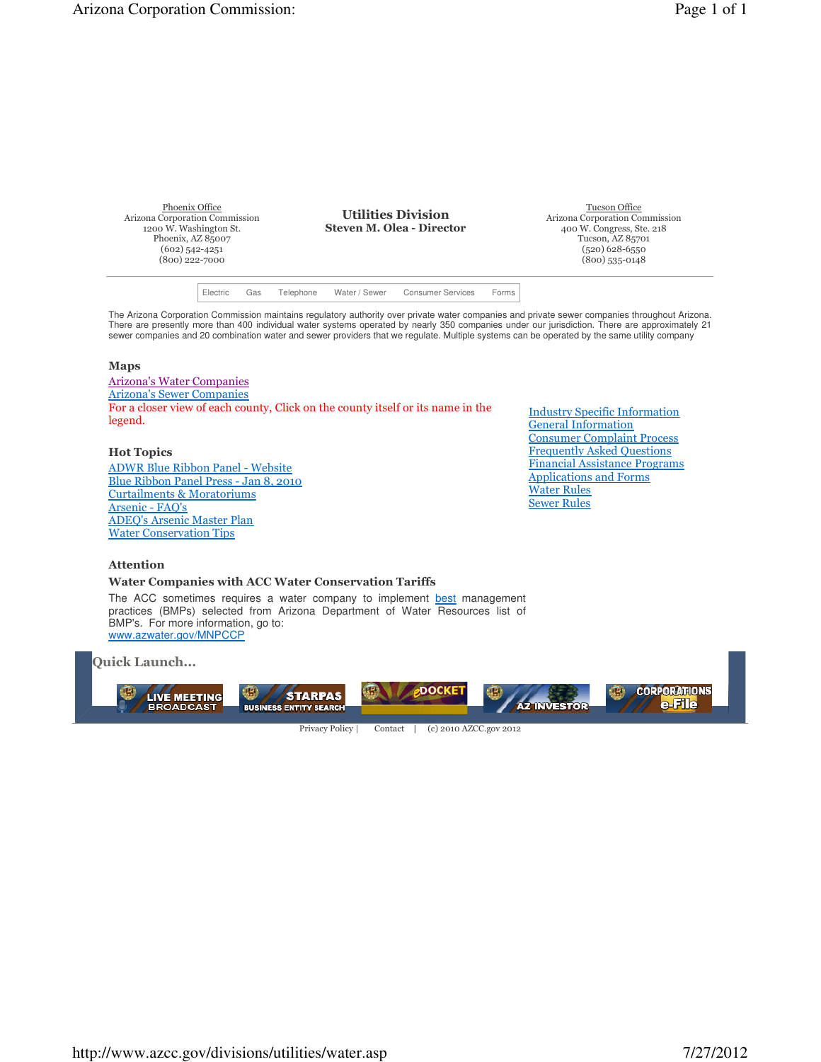Phoenix Office Arizona Corporation Commission 1200 W. Washington St. Phoenix, AZ 85007 (602) 542-4251 (800) 222-7000

**Utilities Division Steven M. Olea - Director**

Tucson Office Arizona Corporation Commission 400 W. Congress, Ste. 218 Tucson, AZ 85701 (520) 628-6550 (800) 535-0148

Electric Gas Telephone Water / Sewer Consumer Services Forms

The Arizona Corporation Commission maintains regulatory authority over private water companies and private sewer companies throughout Arizona. There are presently more than 400 individual water systems operated by nearly 350 companies under our jurisdiction. There are approximately 21 sewer companies and 20 combination water and sewer providers that we regulate. Multiple systems can be operated by the same utility company

### **Maps**

Arizona's Water Companies Arizona's Sewer Companies For a closer view of each county, Click on the county itself or its name in the legend.

### **Hot Topics**

ADWR Blue Ribbon Panel - Website Blue Ribbon Panel Press - Jan 8, 2010 Curtailments & Moratoriums Arsenic - FAQ's ADEQ's Arsenic Master Plan Water Conservation Tips

Industry Specific Information General Information Consumer Complaint Process Frequently Asked Questions Financial Assistance Programs Applications and Forms Water Rules Sewer Rules

## **Attention**

# **Water Companies with ACC Water Conservation Tariffs**

The ACC sometimes requires a water company to implement best management practices (BMPs) selected from Arizona Department of Water Resources list of BMP's. For more information, go to: www.azwater.gov/MNPCCP

**Quick Launch...**



Privacy Policy | Contact | (c) 2010 AZCC.gov 2012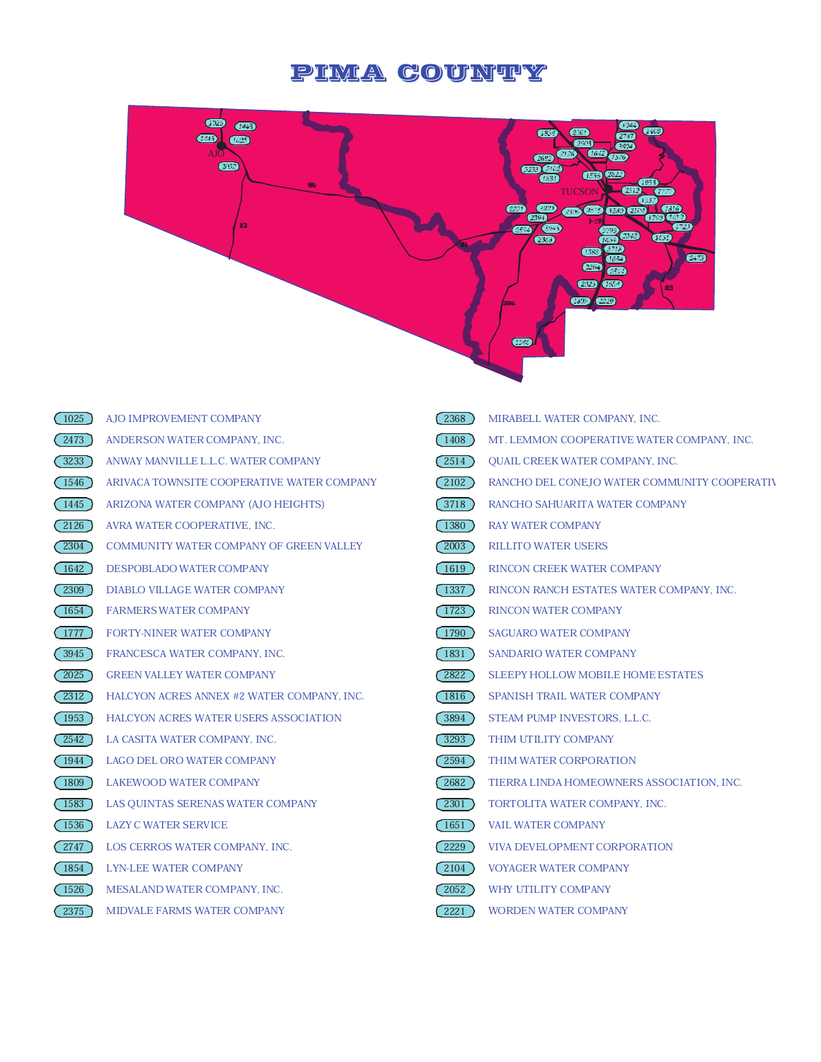# PIMA COUNTY



| 1025              | AJO IMPROVEMENT COMPANY                        | 2368              | MIRABELL WATER COMPANY, INC.                 |
|-------------------|------------------------------------------------|-------------------|----------------------------------------------|
| 2473              | ANDERSON WATER COMPANY, INC.                   | $1408$ )          | MT. LEMMON COOPERATIVE WATER COMPANY, INC.   |
| 3233              | ANWAY MANVILLE L.L.C. WATER COMPANY            | 2514              | QUAIL CREEK WATER COMPANY, INC.              |
| 1546              | ARIVACA TOWNSITE COOPERATIVE WATER COMPANY     | $2102$ )          | RANCHO DEL CONEJO WATER COMMUNITY COOPERATIV |
| $\overline{1445}$ | ARIZONA WATER COMPANY (AJO HEIGHTS)            | 3718              | RANCHO SAHUARITA WATER COMPANY               |
| 2126              | AVRA WATER COOPERATIVE, INC.                   | 1380              | <b>RAY WATER COMPANY</b>                     |
| $\overline{2304}$ | <b>COMMUNITY WATER COMPANY OF GREEN VALLEY</b> | 2003              | <b>RILLITO WATER USERS</b>                   |
| 1642              | DESPOBLADO WATER COMPANY                       | $1619$ )          | RINCON CREEK WATER COMPANY                   |
| 2309              | DIABLO VILLAGE WATER COMPANY                   | 1337              | RINCON RANCH ESTATES WATER COMPANY, INC.     |
| 1654              | <b>FARMERS WATER COMPANY</b>                   | $\overline{1723}$ | <b>RINCON WATER COMPANY</b>                  |
| 1777              | <b>FORTY-NINER WATER COMPANY</b>               | 1790              | <b>SAGUARO WATER COMPANY</b>                 |
| 3945              | FRANCESCA WATER COMPANY, INC.                  | 1831              | SANDARIO WATER COMPANY                       |
| 2025              | <b>GREEN VALLEY WATER COMPANY</b>              | 2822)             | SLEEPY HOLLOW MOBILE HOME ESTATES            |
| 2312              | HALCYON ACRES ANNEX #2 WATER COMPANY, INC.     | 1816              | SPANISH TRAIL WATER COMPANY                  |
| 1953              | HALCYON ACRES WATER USERS ASSOCIATION          | 3894              | STEAM PUMP INVESTORS, L.L.C.                 |
| $\overline{2542}$ | LA CASITA WATER COMPANY, INC.                  | 3293              | THIM UTILITY COMPANY                         |
| 1944              | <b>LAGO DEL ORO WATER COMPANY</b>              | 2594              | THIM WATER CORPORATION                       |
| 1809              | LAKEWOOD WATER COMPANY                         | 2682              | TIERRA LINDA HOMEOWNERS ASSOCIATION, INC.    |
| 1583              | LAS QUINTAS SERENAS WATER COMPANY              | 2301              | TORTOLITA WATER COMPANY, INC.                |
| 1536              | <b>LAZY C WATER SERVICE</b>                    | 1651)             | <b>VAIL WATER COMPANY</b>                    |
| 2747              | LOS CERROS WATER COMPANY, INC.                 | 2229              | VIVA DEVELOPMENT CORPORATION                 |
| 1854              | LYN-LEE WATER COMPANY                          | $2104$ )          | <b>VOYAGER WATER COMPANY</b>                 |
| 1526              | MESALAND WATER COMPANY, INC.                   | 2052              | WHY UTILITY COMPANY                          |
| 2375              | MIDVALE FARMS WATER COMPANY                    | 2221              | <b>WORDEN WATER COMPANY</b>                  |
|                   |                                                |                   |                                              |